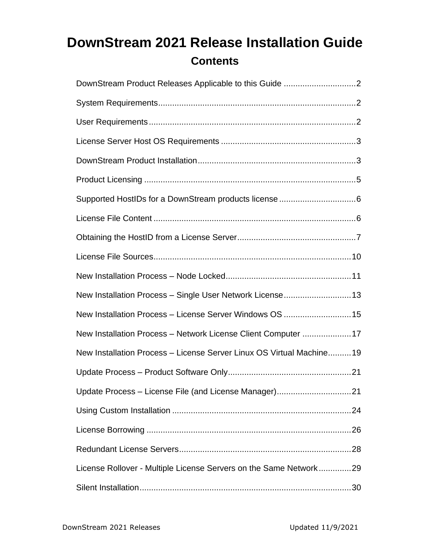# **DownStream 2021 Release Installation Guide Contents**

| New Installation Process - Single User Network License 13            |
|----------------------------------------------------------------------|
| New Installation Process - License Server Windows OS  15             |
| New Installation Process - Network License Client Computer 17        |
| New Installation Process - License Server Linux OS Virtual Machine19 |
|                                                                      |
|                                                                      |
|                                                                      |
|                                                                      |
|                                                                      |
| License Rollover - Multiple License Servers on the Same Network29    |
|                                                                      |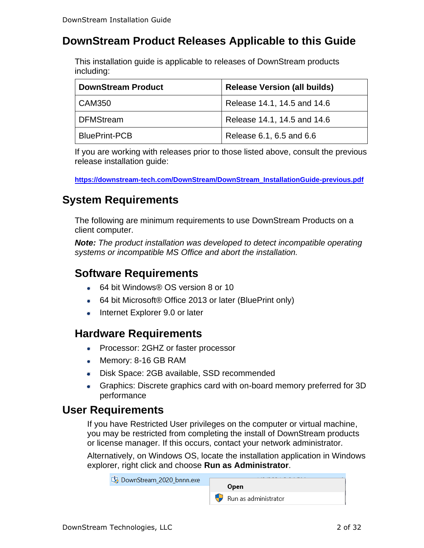# <span id="page-1-0"></span>**DownStream Product Releases Applicable to this Guide**

This installation guide is applicable to releases of DownStream products including:

| <b>DownStream Product</b> | <b>Release Version (all builds)</b> |
|---------------------------|-------------------------------------|
| CAM350                    | Release 14.1, 14.5 and 14.6         |
| DFMStream                 | Release 14.1, 14.5 and 14.6         |
| <b>BluePrint-PCB</b>      | Release 6.1, 6.5 and 6.6            |

If you are working with releases prior to those listed above, consult the previous release installation guide:

**[https://downstream-tech.com/DownStream/DownStream\\_InstallationGuide-previous.pdf](https://downstream-tech.com/DownStream/DownStream_InstallationGuide-previous.pdf)**

# <span id="page-1-1"></span>**System Requirements**

The following are minimum requirements to use DownStream Products on a client computer.

*Note: The product installation was developed to detect incompatible operating systems or incompatible MS Office and abort the installation.*

### **Software Requirements**

- 64 bit Windows® OS version 8 or 10
- 64 bit Microsoft® Office 2013 or later (BluePrint only)
- **Internet Explorer 9.0 or later**

### **Hardware Requirements**

- Processor: 2GHZ or faster processor
- Memory: 8-16 GB RAM
- Disk Space: 2GB available, SSD recommended
- Graphics: Discrete graphics card with on-board memory preferred for 3D performance

### <span id="page-1-2"></span>**User Requirements**

If you have Restricted User privileges on the computer or virtual machine, you may be restricted from completing the install of DownStream products or license manager. If this occurs, contact your network administrator.

Alternatively, on Windows OS, locate the installation application in Windows explorer, right click and choose **Run as Administrator**.

| DownStream_2020_bnnn.exe |                      |
|--------------------------|----------------------|
|                          | <b>Open</b>          |
|                          | Run as administrator |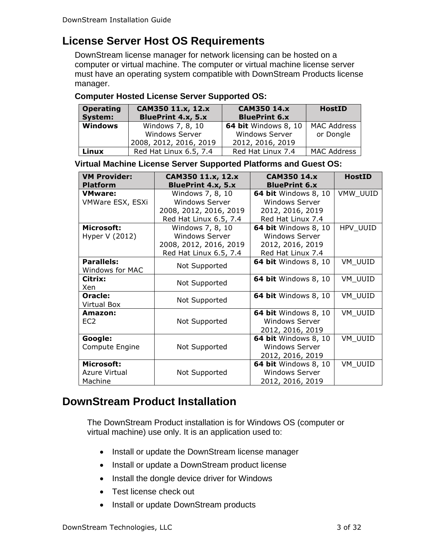# <span id="page-2-0"></span>**License Server Host OS Requirements**

DownStream license manager for network licensing can be hosted on a computer or virtual machine. The computer or virtual machine license server must have an operating system compatible with DownStream Products license manager.

#### **Computer Hosted License Server Supported OS:**

| <b>Operating</b><br>CAM350 11.x, 12.x |                           | <b>CAM350 14.x</b>          | <b>HostID</b>      |
|---------------------------------------|---------------------------|-----------------------------|--------------------|
| System:                               | <b>BluePrint 4.x, 5.x</b> | <b>BluePrint 6.x</b>        |                    |
| <b>Windows</b><br>Windows 7, 8, 10    |                           | <b>64 bit Windows 8, 10</b> | <b>MAC Address</b> |
|                                       | <b>Windows Server</b>     | <b>Windows Server</b>       | or Dongle          |
|                                       | 2008, 2012, 2016, 2019    | 2012, 2016, 2019            |                    |
| Linux                                 | Red Hat Linux 6.5, 7.4    | Red Hat Linux 7.4           | <b>MAC Address</b> |

**Virtual Machine License Server Supported Platforms and Guest OS:**

| <b>VM Provider:</b> | CAM350 11.x, 12.x         | <b>CAM350 14.x</b>          | <b>HostID</b> |
|---------------------|---------------------------|-----------------------------|---------------|
| <b>Platform</b>     | <b>BluePrint 4.x, 5.x</b> | <b>BluePrint 6.x</b>        |               |
| <b>VMware:</b>      | Windows 7, 8, 10          | 64 bit Windows 8, 10        | VMW_UUID      |
| VMWare ESX, ESXi    | <b>Windows Server</b>     | <b>Windows Server</b>       |               |
|                     | 2008, 2012, 2016, 2019    | 2012, 2016, 2019            |               |
|                     | Red Hat Linux 6.5, 7.4    | Red Hat Linux 7.4           |               |
| Microsoft:          | Windows 7, 8, 10          | <b>64 bit Windows 8, 10</b> | HPV_UUID      |
| Hyper V (2012)      | <b>Windows Server</b>     | <b>Windows Server</b>       |               |
|                     | 2008, 2012, 2016, 2019    | 2012, 2016, 2019            |               |
|                     | Red Hat Linux 6.5, 7.4    | Red Hat Linux 7.4           |               |
| <b>Parallels:</b>   |                           | <b>64 bit Windows 8, 10</b> | VM_UUID       |
| Windows for MAC     | Not Supported             |                             |               |
| Citrix:             |                           | <b>64 bit Windows 8, 10</b> | VM UUID       |
| Xen                 | Not Supported             |                             |               |
| Oracle:             | Not Supported             | <b>64 bit Windows 8, 10</b> | VM UUID       |
| <b>Virtual Box</b>  |                           |                             |               |
| Amazon:             |                           | <b>64 bit Windows 8, 10</b> | VM UUID       |
| EC <sub>2</sub>     | Not Supported             | <b>Windows Server</b>       |               |
|                     |                           | 2012, 2016, 2019            |               |
| Google:             |                           | <b>64 bit Windows 8, 10</b> | VM_UUID       |
| Compute Engine      | Not Supported             | <b>Windows Server</b>       |               |
|                     |                           | 2012, 2016, 2019            |               |
| Microsoft:          |                           | <b>64 bit Windows 8, 10</b> | VM UUID       |
| Azure Virtual       | Not Supported             | <b>Windows Server</b>       |               |
| Machine             |                           | 2012, 2016, 2019            |               |

# <span id="page-2-1"></span>**DownStream Product Installation**

The DownStream Product installation is for Windows OS (computer or virtual machine) use only. It is an application used to:

- Install or update the DownStream license manager
- Install or update a DownStream product license
- Install the dongle device driver for Windows
- Test license check out
- Install or update DownStream products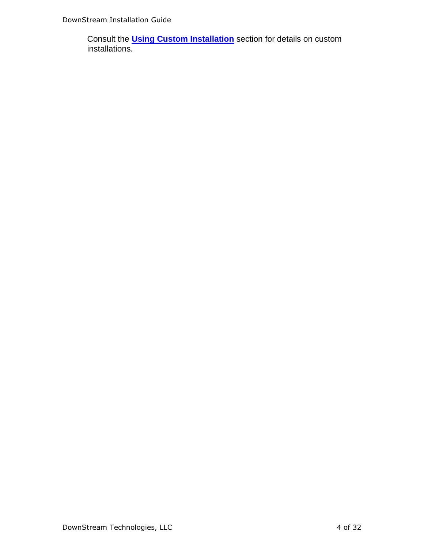Consult the **[Using Custom Installation](#page-22-0)** section for details on custom installations.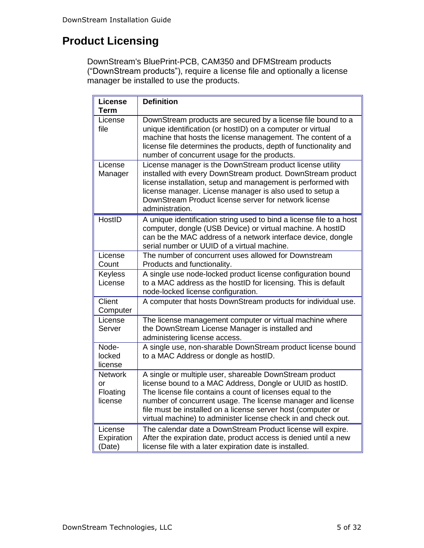# <span id="page-4-0"></span>**Product Licensing**

DownStream's BluePrint-PCB, CAM350 and DFMStream products ("DownStream products"), require a license file and optionally a license manager be installed to use the products.

| <b>License</b><br><b>Term</b>               | <b>Definition</b>                                                                                                                                                                                                                                                                                                                                                                   |
|---------------------------------------------|-------------------------------------------------------------------------------------------------------------------------------------------------------------------------------------------------------------------------------------------------------------------------------------------------------------------------------------------------------------------------------------|
| License<br>file                             | DownStream products are secured by a license file bound to a<br>unique identification (or hostID) on a computer or virtual<br>machine that hosts the license management. The content of a<br>license file determines the products, depth of functionality and<br>number of concurrent usage for the products.                                                                       |
| License<br>Manager                          | License manager is the DownStream product license utility<br>installed with every DownStream product. DownStream product<br>license installation, setup and management is performed with<br>license manager. License manager is also used to setup a<br>DownStream Product license server for network license<br>administration.                                                    |
| HostID                                      | A unique identification string used to bind a license file to a host<br>computer, dongle (USB Device) or virtual machine. A hostID<br>can be the MAC address of a network interface device, dongle<br>serial number or UUID of a virtual machine.                                                                                                                                   |
| License<br>Count                            | The number of concurrent uses allowed for Downstream<br>Products and functionality.                                                                                                                                                                                                                                                                                                 |
| <b>Keyless</b><br>License                   | A single use node-locked product license configuration bound<br>to a MAC address as the hostID for licensing. This is default<br>node-locked license configuration.                                                                                                                                                                                                                 |
| Client<br>Computer                          | A computer that hosts DownStream products for individual use.                                                                                                                                                                                                                                                                                                                       |
| License<br>Server                           | The license management computer or virtual machine where<br>the DownStream License Manager is installed and<br>administering license access.                                                                                                                                                                                                                                        |
| Node-<br>locked<br>license                  | A single use, non-sharable DownStream product license bound<br>to a MAC Address or dongle as hostID.                                                                                                                                                                                                                                                                                |
| <b>Network</b><br>or<br>Floating<br>license | A single or multiple user, shareable DownStream product<br>license bound to a MAC Address, Dongle or UUID as hostID.<br>The license file contains a count of licenses equal to the<br>number of concurrent usage. The license manager and license<br>file must be installed on a license server host (computer or<br>virtual machine) to administer license check in and check out. |
| License<br>Expiration<br>(Date)             | The calendar date a DownStream Product license will expire.<br>After the expiration date, product access is denied until a new<br>license file with a later expiration date is installed.                                                                                                                                                                                           |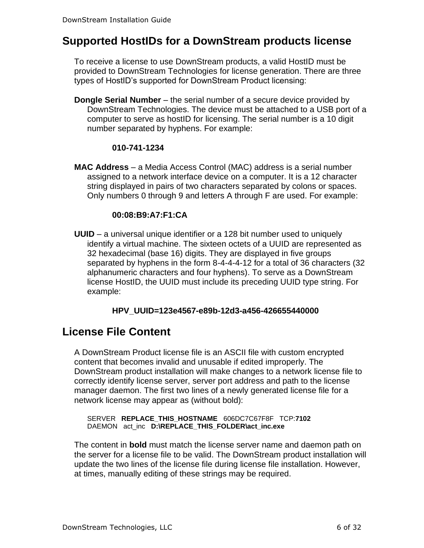### <span id="page-5-0"></span>**Supported HostIDs for a DownStream products license**

To receive a license to use DownStream products, a valid HostID must be provided to DownStream Technologies for license generation. There are three types of HostID's supported for DownStream Product licensing:

**Dongle Serial Number** – the serial number of a secure device provided by DownStream Technologies. The device must be attached to a USB port of a computer to serve as hostID for licensing. The serial number is a 10 digit number separated by hyphens. For example:

#### **010-741-1234**

**MAC Address** – a Media Access Control (MAC) address is a serial number assigned to a network interface device on a computer. It is a 12 character string displayed in pairs of two characters separated by colons or spaces. Only numbers 0 through 9 and letters A through F are used. For example:

#### **00:08:B9:A7:F1:CA**

**UUID** – a universal unique identifier or a 128 bit number used to uniquely identify a virtual machine. The sixteen octets of a UUID are represented as 32 hexadecimal (base 16) digits. They are displayed in five groups separated by hyphens in the form 8-4-4-4-12 for a total of 36 characters (32 alphanumeric characters and four hyphens). To serve as a DownStream license HostID, the UUID must include its preceding UUID type string. For example:

#### **HPV\_UUID=123e4567-e89b-12d3-a456-426655440000**

### <span id="page-5-1"></span>**License File Content**

A DownStream Product license file is an ASCII file with custom encrypted content that becomes invalid and unusable if edited improperly. The DownStream product installation will make changes to a network license file to correctly identify license server, server port address and path to the license manager daemon. The first two lines of a newly generated license file for a network license may appear as (without bold):

SERVER **REPLACE\_THIS\_HOSTNAME** 606DC7C67F8F TCP:**7102** DAEMON act\_inc **D:\REPLACE\_THIS\_FOLDER\act\_inc.exe**

The content in **bold** must match the license server name and daemon path on the server for a license file to be valid. The DownStream product installation will update the two lines of the license file during license file installation. However, at times, manually editing of these strings may be required.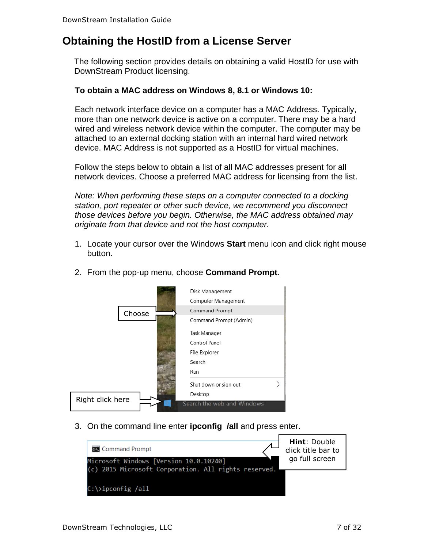# <span id="page-6-0"></span>**Obtaining the HostID from a License Server**

The following section provides details on obtaining a valid HostID for use with DownStream Product licensing.

#### **To obtain a MAC address on Windows 8, 8.1 or Windows 10:**

Each network interface device on a computer has a MAC Address. Typically, more than one network device is active on a computer. There may be a hard wired and wireless network device within the computer. The computer may be attached to an external docking station with an internal hard wired network device. MAC Address is not supported as a HostID for virtual machines.

Follow the steps below to obtain a list of all MAC addresses present for all network devices. Choose a preferred MAC address for licensing from the list.

*Note: When performing these steps on a computer connected to a docking station, port repeater or other such device, we recommend you disconnect those devices before you begin. Otherwise, the MAC address obtained may originate from that device and not the host computer.*

1. Locate your cursor over the Windows **Start** menu icon and click right mouse button.



2. From the pop-up menu, choose **Command Prompt**.

3. On the command line enter **ipconfig /all** and press enter.

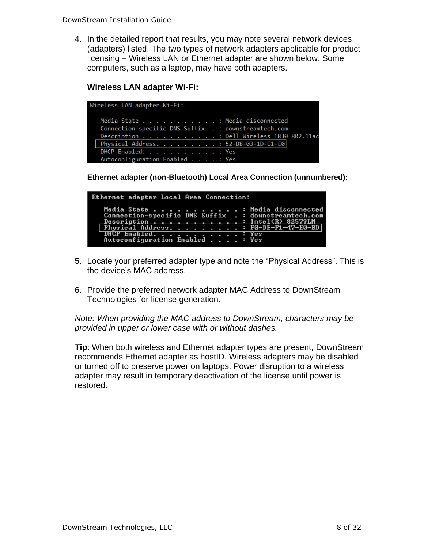4. In the detailed report that results, you may note several network devices (adapters) listed. The two types of network adapters applicable for product licensing – Wireless LAN or Ethernet adapter are shown below. Some computers, such as a laptop, may have both adapters.

#### **Wireless LAN adapter Wi-Fi:**

| Wireless LAN adapter Wi-Fi:                           |  |
|-------------------------------------------------------|--|
| Media State Hedia disconnected                        |  |
| Connection-specific DNS Suffix . : downstreamtech.com |  |
| Description : Dell Wireless 1830 802.11ac             |  |
| Physical Address. : 52-B8-03-1D-E1-E0                 |  |
| DHCP Enabled. : Yes                                   |  |
| Autoconfiguration Enabled : Yes                       |  |

**Ethernet adapter (non-Bluetooth) Local Area Connection (unnumbered):**

| Ethernet adapter Local Area Connection: |                                                                                                                                                                                                                          |  |
|-----------------------------------------|--------------------------------------------------------------------------------------------------------------------------------------------------------------------------------------------------------------------------|--|
|                                         | Media State Media disconnected<br>Connection-specific DNS Suffix .: downstreamtech.com<br>Description Intel(R) 82579LM<br>  Physical Address. F0-DE-F1-47-E0-BD <br>DHCP Enabled. Yes<br>Autoconfiguration Enabled : Yes |  |

- 5. Locate your preferred adapter type and note the "Physical Address". This is the device's MAC address.
- 6. Provide the preferred network adapter MAC Address to DownStream Technologies for license generation.

*Note: When providing the MAC address to DownStream, characters may be provided in upper or lower case with or without dashes.*

**Tip**: When both wireless and Ethernet adapter types are present, DownStream recommends Ethernet adapter as hostID. Wireless adapters may be disabled or turned off to preserve power on laptops. Power disruption to a wireless adapter may result in temporary deactivation of the license until power is restored.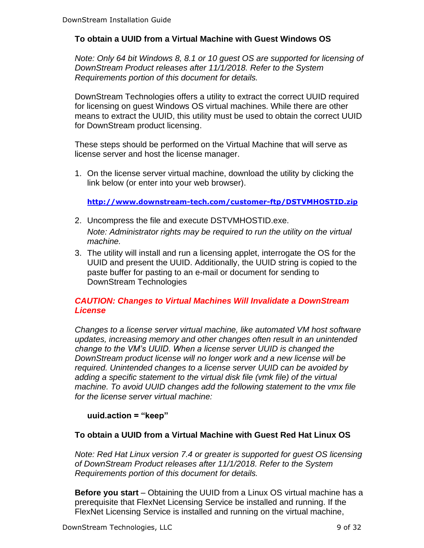#### **To obtain a UUID from a Virtual Machine with Guest Windows OS**

*Note: Only 64 bit Windows 8, 8.1 or 10 guest OS are supported for licensing of DownStream Product releases after 11/1/2018. Refer to the System Requirements portion of this document for details.*

DownStream Technologies offers a utility to extract the correct UUID required for licensing on guest Windows OS virtual machines. While there are other means to extract the UUID, this utility must be used to obtain the correct UUID for DownStream product licensing.

These steps should be performed on the Virtual Machine that will serve as license server and host the license manager.

1. On the license server virtual machine, download the utility by clicking the link below (or enter into your web browser).

**<http://www.downstream-tech.com/customer-ftp/DSTVMHOSTID.zip>**

- 2. Uncompress the file and execute DSTVMHOSTID.exe. *Note: Administrator rights may be required to run the utility on the virtual machine.*
- 3. The utility will install and run a licensing applet, interrogate the OS for the UUID and present the UUID. Additionally, the UUID string is copied to the paste buffer for pasting to an e-mail or document for sending to DownStream Technologies

#### *CAUTION: Changes to Virtual Machines Will Invalidate a DownStream License*

*Changes to a license server virtual machine, like automated VM host software updates, increasing memory and other changes often result in an unintended change to the VM's UUID. When a license server UUID is changed the DownStream product license will no longer work and a new license will be required. Unintended changes to a license server UUID can be avoided by adding a specific statement to the virtual disk file (vmk file) of the virtual machine. To avoid UUID changes add the following statement to the vmx file for the license server virtual machine:*

#### **uuid.action = "keep"**

#### **To obtain a UUID from a Virtual Machine with Guest Red Hat Linux OS**

*Note: Red Hat Linux version 7.4 or greater is supported for guest OS licensing of DownStream Product releases after 11/1/2018. Refer to the System Requirements portion of this document for details.*

**Before you start** – Obtaining the UUID from a Linux OS virtual machine has a prerequisite that FlexNet Licensing Service be installed and running. If the FlexNet Licensing Service is installed and running on the virtual machine,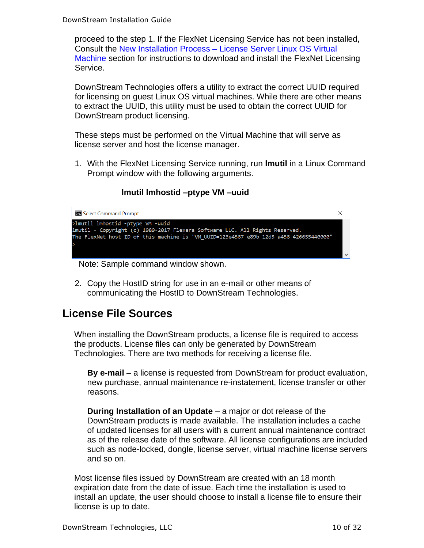proceed to the step 1. If the FlexNet Licensing Service has not been installed, Consult the New Installation Process – [License Server Linux OS Virtual](#page-17-0)  [Machine](#page-17-0) section for instructions to download and install the FlexNet Licensing Service.

DownStream Technologies offers a utility to extract the correct UUID required for licensing on guest Linux OS virtual machines. While there are other means to extract the UUID, this utility must be used to obtain the correct UUID for DownStream product licensing.

These steps must be performed on the Virtual Machine that will serve as license server and host the license manager.

1. With the FlexNet Licensing Service running, run **lmutil** in a Linux Command Prompt window with the following arguments.

#### **lmutil lmhostid –ptype VM –uuid**



- 2. Copy the HostID string for use in an e-mail or other means of
- communicating the HostID to DownStream Technologies.

### <span id="page-9-0"></span>**License File Sources**

When installing the DownStream products, a license file is required to access the products. License files can only be generated by DownStream Technologies. There are two methods for receiving a license file.

**By e-mail** – a license is requested from DownStream for product evaluation, new purchase, annual maintenance re-instatement, license transfer or other reasons.

**During Installation of an Update** – a major or dot release of the DownStream products is made available. The installation includes a cache of updated licenses for all users with a current annual maintenance contract as of the release date of the software. All license configurations are included such as node-locked, dongle, license server, virtual machine license servers and so on.

Most license files issued by DownStream are created with an 18 month expiration date from the date of issue. Each time the installation is used to install an update, the user should choose to install a license file to ensure their license is up to date.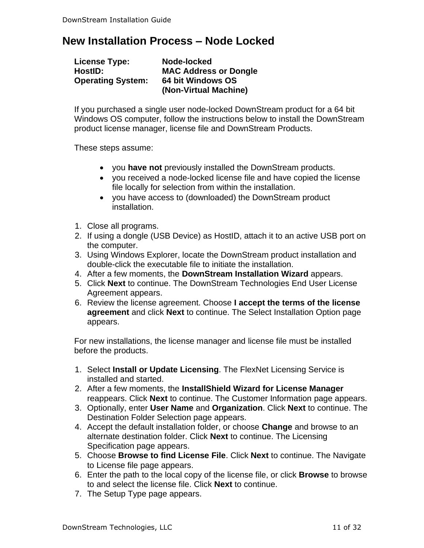### <span id="page-10-0"></span>**New Installation Process – Node Locked**

| <b>License Type:</b>     | Node-locked                  |
|--------------------------|------------------------------|
| HostID:                  | <b>MAC Address or Dongle</b> |
| <b>Operating System:</b> | 64 bit Windows OS            |
|                          | (Non-Virtual Machine)        |

If you purchased a single user node-locked DownStream product for a 64 bit Windows OS computer, follow the instructions below to install the DownStream product license manager, license file and DownStream Products.

These steps assume:

- you **have not** previously installed the DownStream products.
- you received a node-locked license file and have copied the license file locally for selection from within the installation.
- you have access to (downloaded) the DownStream product installation.
- 1. Close all programs.
- 2. If using a dongle (USB Device) as HostID, attach it to an active USB port on the computer.
- 3. Using Windows Explorer, locate the DownStream product installation and double-click the executable file to initiate the installation.
- 4. After a few moments, the **DownStream Installation Wizard** appears.
- 5. Click **Next** to continue. The DownStream Technologies End User License Agreement appears.
- 6. Review the license agreement. Choose **I accept the terms of the license agreement** and click **Next** to continue. The Select Installation Option page appears.

For new installations, the license manager and license file must be installed before the products.

- 1. Select **Install or Update Licensing**. The FlexNet Licensing Service is installed and started.
- 2. After a few moments, the **InstallShield Wizard for License Manager** reappears. Click **Next** to continue. The Customer Information page appears.
- 3. Optionally, enter **User Name** and **Organization**. Click **Next** to continue. The Destination Folder Selection page appears.
- 4. Accept the default installation folder, or choose **Change** and browse to an alternate destination folder. Click **Next** to continue. The Licensing Specification page appears.
- 5. Choose **Browse to find License File**. Click **Next** to continue. The Navigate to License file page appears.
- 6. Enter the path to the local copy of the license file, or click **Browse** to browse to and select the license file. Click **Next** to continue.
- 7. The Setup Type page appears.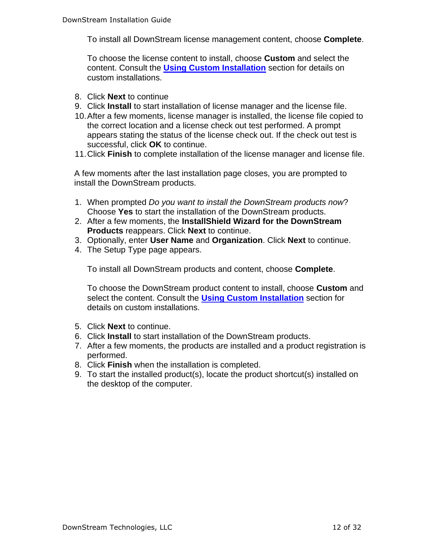To install all DownStream license management content, choose **Complete**.

To choose the license content to install, choose **Custom** and select the content. Consult the **[Using Custom Installation](#page-22-0)** section for details on custom installations.

- 8. Click **Next** to continue
- 9. Click **Install** to start installation of license manager and the license file.
- 10.After a few moments, license manager is installed, the license file copied to the correct location and a license check out test performed. A prompt appears stating the status of the license check out. If the check out test is successful, click **OK** to continue.
- 11.Click **Finish** to complete installation of the license manager and license file.

A few moments after the last installation page closes, you are prompted to install the DownStream products.

- 1. When prompted *Do you want to install the DownStream products now*? Choose **Yes** to start the installation of the DownStream products.
- 2. After a few moments, the **InstallShield Wizard for the DownStream Products** reappears. Click **Next** to continue.
- 3. Optionally, enter **User Name** and **Organization**. Click **Next** to continue.
- 4. The Setup Type page appears.

To install all DownStream products and content, choose **Complete**.

To choose the DownStream product content to install, choose **Custom** and select the content. Consult the **[Using Custom Installation](#page-22-0)** section for details on custom installations.

- 5. Click **Next** to continue.
- 6. Click **Install** to start installation of the DownStream products.
- 7. After a few moments, the products are installed and a product registration is performed.
- 8. Click **Finish** when the installation is completed.
- 9. To start the installed product(s), locate the product shortcut(s) installed on the desktop of the computer.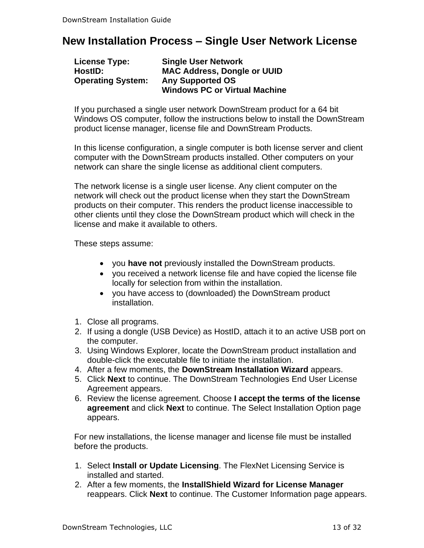# <span id="page-12-0"></span>**New Installation Process – Single User Network License**

| License Type:            | <b>Single User Network</b>           |
|--------------------------|--------------------------------------|
| HostID:                  | <b>MAC Address, Dongle or UUID</b>   |
| <b>Operating System:</b> | <b>Any Supported OS</b>              |
|                          | <b>Windows PC or Virtual Machine</b> |

If you purchased a single user network DownStream product for a 64 bit Windows OS computer, follow the instructions below to install the DownStream product license manager, license file and DownStream Products.

In this license configuration, a single computer is both license server and client computer with the DownStream products installed. Other computers on your network can share the single license as additional client computers.

The network license is a single user license. Any client computer on the network will check out the product license when they start the DownStream products on their computer. This renders the product license inaccessible to other clients until they close the DownStream product which will check in the license and make it available to others.

These steps assume:

- you **have not** previously installed the DownStream products.
- you received a network license file and have copied the license file locally for selection from within the installation.
- you have access to (downloaded) the DownStream product installation.
- 1. Close all programs.
- 2. If using a dongle (USB Device) as HostID, attach it to an active USB port on the computer.
- 3. Using Windows Explorer, locate the DownStream product installation and double-click the executable file to initiate the installation.
- 4. After a few moments, the **DownStream Installation Wizard** appears.
- 5. Click **Next** to continue. The DownStream Technologies End User License Agreement appears.
- 6. Review the license agreement. Choose **I accept the terms of the license agreement** and click **Next** to continue. The Select Installation Option page appears.

For new installations, the license manager and license file must be installed before the products.

- 1. Select **Install or Update Licensing**. The FlexNet Licensing Service is installed and started.
- 2. After a few moments, the **InstallShield Wizard for License Manager** reappears. Click **Next** to continue. The Customer Information page appears.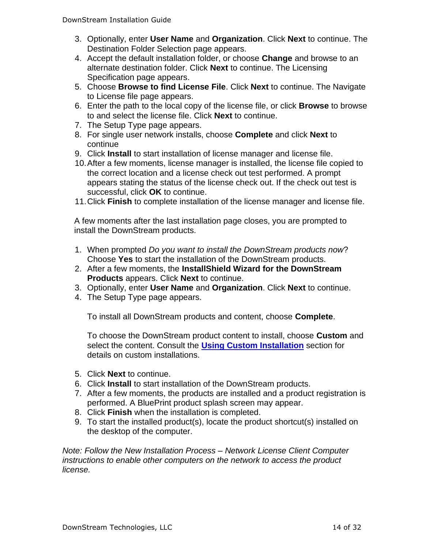- 3. Optionally, enter **User Name** and **Organization**. Click **Next** to continue. The Destination Folder Selection page appears.
- 4. Accept the default installation folder, or choose **Change** and browse to an alternate destination folder. Click **Next** to continue. The Licensing Specification page appears.
- 5. Choose **Browse to find License File**. Click **Next** to continue. The Navigate to License file page appears.
- 6. Enter the path to the local copy of the license file, or click **Browse** to browse to and select the license file. Click **Next** to continue.
- 7. The Setup Type page appears.
- 8. For single user network installs, choose **Complete** and click **Next** to continue
- 9. Click **Install** to start installation of license manager and license file.
- 10.After a few moments, license manager is installed, the license file copied to the correct location and a license check out test performed. A prompt appears stating the status of the license check out. If the check out test is successful, click **OK** to continue.
- 11.Click **Finish** to complete installation of the license manager and license file.

A few moments after the last installation page closes, you are prompted to install the DownStream products.

- 1. When prompted *Do you want to install the DownStream products now*? Choose **Yes** to start the installation of the DownStream products.
- 2. After a few moments, the **InstallShield Wizard for the DownStream Products** appears. Click **Next** to continue.
- 3. Optionally, enter **User Name** and **Organization**. Click **Next** to continue.
- 4. The Setup Type page appears.

To install all DownStream products and content, choose **Complete**.

To choose the DownStream product content to install, choose **Custom** and select the content. Consult the **[Using Custom Installation](#page-22-0)** section for details on custom installations.

- 5. Click **Next** to continue.
- 6. Click **Install** to start installation of the DownStream products.
- 7. After a few moments, the products are installed and a product registration is performed. A BluePrint product splash screen may appear.
- 8. Click **Finish** when the installation is completed.
- 9. To start the installed product(s), locate the product shortcut(s) installed on the desktop of the computer.

*Note: Follow the New Installation Process – Network License Client Computer instructions to enable other computers on the network to access the product license.*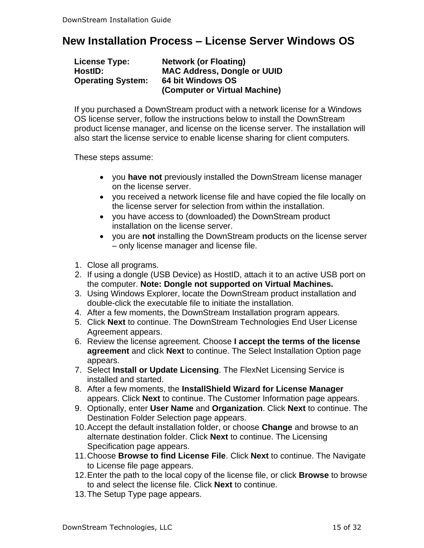# <span id="page-14-0"></span>**New Installation Process – License Server Windows OS**

| <b>License Type:</b>     | <b>Network (or Floating)</b>       |
|--------------------------|------------------------------------|
| HostID:                  | <b>MAC Address, Dongle or UUID</b> |
| <b>Operating System:</b> | 64 bit Windows OS                  |
|                          | (Computer or Virtual Machine)      |

If you purchased a DownStream product with a network license for a Windows OS license server, follow the instructions below to install the DownStream product license manager, and license on the license server. The installation will also start the license service to enable license sharing for client computers.

These steps assume:

- you **have not** previously installed the DownStream license manager on the license server.
- you received a network license file and have copied the file locally on the license server for selection from within the installation.
- you have access to (downloaded) the DownStream product installation on the license server.
- you are **not** installing the DownStream products on the license server – only license manager and license file.
- 1. Close all programs.
- 2. If using a dongle (USB Device) as HostID, attach it to an active USB port on the computer. **Note: Dongle not supported on Virtual Machines.**
- 3. Using Windows Explorer, locate the DownStream product installation and double-click the executable file to initiate the installation.
- 4. After a few moments, the DownStream Installation program appears.
- 5. Click **Next** to continue. The DownStream Technologies End User License Agreement appears.
- 6. Review the license agreement. Choose **I accept the terms of the license agreement** and click **Next** to continue. The Select Installation Option page appears.
- 7. Select **Install or Update Licensing**. The FlexNet Licensing Service is installed and started.
- 8. After a few moments, the **InstallShield Wizard for License Manager** appears. Click **Next** to continue. The Customer Information page appears.
- 9. Optionally, enter **User Name** and **Organization**. Click **Next** to continue. The Destination Folder Selection page appears.
- 10.Accept the default installation folder, or choose **Change** and browse to an alternate destination folder. Click **Next** to continue. The Licensing Specification page appears.
- 11.Choose **Browse to find License File**. Click **Next** to continue. The Navigate to License file page appears.
- 12.Enter the path to the local copy of the license file, or click **Browse** to browse to and select the license file. Click **Next** to continue.
- 13.The Setup Type page appears.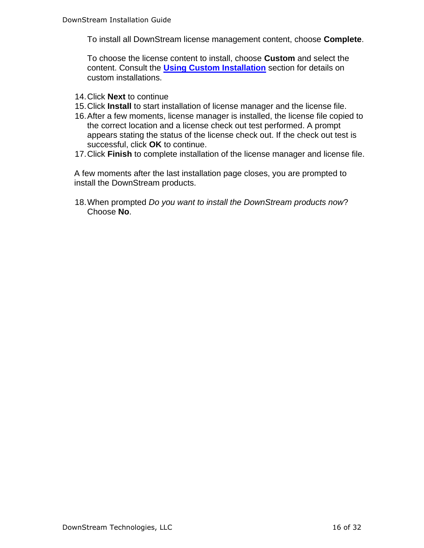To install all DownStream license management content, choose **Complete**.

To choose the license content to install, choose **Custom** and select the content. Consult the **[Using Custom Installation](#page-22-0)** section for details on custom installations.

- 14.Click **Next** to continue
- 15.Click **Install** to start installation of license manager and the license file.
- 16.After a few moments, license manager is installed, the license file copied to the correct location and a license check out test performed. A prompt appears stating the status of the license check out. If the check out test is successful, click **OK** to continue.
- 17.Click **Finish** to complete installation of the license manager and license file.

A few moments after the last installation page closes, you are prompted to install the DownStream products.

18.When prompted *Do you want to install the DownStream products now*? Choose **No**.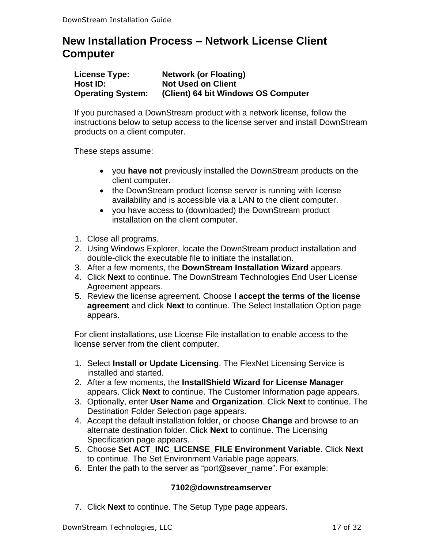# <span id="page-16-0"></span>**New Installation Process – Network License Client Computer**

| License Type:            | <b>Network (or Floating)</b>        |
|--------------------------|-------------------------------------|
| Host ID:                 | <b>Not Used on Client</b>           |
| <b>Operating System:</b> | (Client) 64 bit Windows OS Computer |

If you purchased a DownStream product with a network license, follow the instructions below to setup access to the license server and install DownStream products on a client computer.

These steps assume:

- you **have not** previously installed the DownStream products on the client computer.
- the DownStream product license server is running with license availability and is accessible via a LAN to the client computer.
- you have access to (downloaded) the DownStream product installation on the client computer.
- 1. Close all programs.
- 2. Using Windows Explorer, locate the DownStream product installation and double-click the executable file to initiate the installation.
- 3. After a few moments, the **DownStream Installation Wizard** appears.
- 4. Click **Next** to continue. The DownStream Technologies End User License Agreement appears.
- 5. Review the license agreement. Choose **I accept the terms of the license agreement** and click **Next** to continue. The Select Installation Option page appears.

For client installations, use License File installation to enable access to the license server from the client computer.

- 1. Select **Install or Update Licensing**. The FlexNet Licensing Service is installed and started.
- 2. After a few moments, the **InstallShield Wizard for License Manager** appears. Click **Next** to continue. The Customer Information page appears.
- 3. Optionally, enter **User Name** and **Organization**. Click **Next** to continue. The Destination Folder Selection page appears.
- 4. Accept the default installation folder, or choose **Change** and browse to an alternate destination folder. Click **Next** to continue. The Licensing Specification page appears.
- 5. Choose **Set ACT\_INC\_LICENSE\_FILE Environment Variable**. Click **Next** to continue. The Set Environment Variable page appears.
- 6. Enter the path to the server as "port@sever\_name". For example:

#### **7102@downstreamserver**

7. Click **Next** to continue. The Setup Type page appears.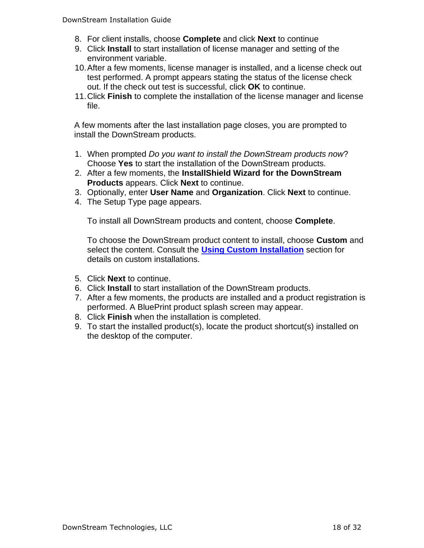- 8. For client installs, choose **Complete** and click **Next** to continue
- 9. Click **Install** to start installation of license manager and setting of the environment variable.
- 10.After a few moments, license manager is installed, and a license check out test performed. A prompt appears stating the status of the license check out. If the check out test is successful, click **OK** to continue.
- 11.Click **Finish** to complete the installation of the license manager and license file.

A few moments after the last installation page closes, you are prompted to install the DownStream products.

- 1. When prompted *Do you want to install the DownStream products now*? Choose **Yes** to start the installation of the DownStream products.
- 2. After a few moments, the **InstallShield Wizard for the DownStream Products** appears. Click **Next** to continue.
- 3. Optionally, enter **User Name** and **Organization**. Click **Next** to continue.
- 4. The Setup Type page appears.

To install all DownStream products and content, choose **Complete**.

To choose the DownStream product content to install, choose **Custom** and select the content. Consult the **[Using Custom Installation](#page-22-0)** section for details on custom installations.

- 5. Click **Next** to continue.
- 6. Click **Install** to start installation of the DownStream products.
- 7. After a few moments, the products are installed and a product registration is performed. A BluePrint product splash screen may appear.
- 8. Click **Finish** when the installation is completed.
- <span id="page-17-0"></span>9. To start the installed product(s), locate the product shortcut(s) installed on the desktop of the computer.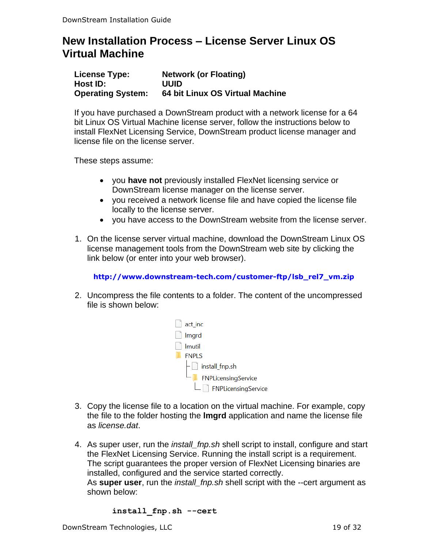# <span id="page-18-0"></span>**New Installation Process – License Server Linux OS Virtual Machine**

| <b>License Type:</b>     | <b>Network (or Floating)</b>    |
|--------------------------|---------------------------------|
| Host ID:                 | UUID                            |
| <b>Operating System:</b> | 64 bit Linux OS Virtual Machine |

If you have purchased a DownStream product with a network license for a 64 bit Linux OS Virtual Machine license server, follow the instructions below to install FlexNet Licensing Service, DownStream product license manager and license file on the license server.

These steps assume:

- you **have not** previously installed FlexNet licensing service or DownStream license manager on the license server.
- you received a network license file and have copied the license file locally to the license server.
- you have access to the DownStream website from the license server.
- 1. On the license server virtual machine, download the DownStream Linux OS license management tools from the DownStream web site by clicking the link below (or enter into your web browser).

**http://www.downstream-tech.com/customer-ftp/lsb\_rel7\_vm.zip**

2. Uncompress the file contents to a folder. The content of the uncompressed file is shown below:



- 3. Copy the license file to a location on the virtual machine. For example, copy the file to the folder hosting the **lmgrd** application and name the license file as *license.dat*.
- 4. As super user, run the *install\_fnp.sh* shell script to install, configure and start the FlexNet Licensing Service. Running the install script is a requirement. The script guarantees the proper version of FlexNet Licensing binaries are installed, configured and the service started correctly. As **super user**, run the *install\_fnp.sh* shell script with the --cert argument as shown below:

**install\_fnp.sh --cert**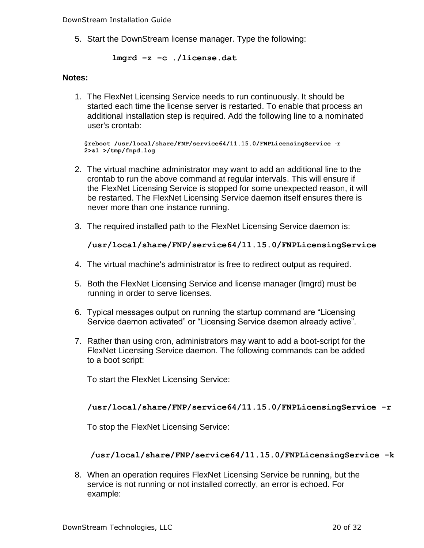DownStream Installation Guide

5. Start the DownStream license manager. Type the following:

**lmgrd –z –c ./license.dat**

#### **Notes:**

1. The FlexNet Licensing Service needs to run continuously. It should be started each time the license server is restarted. To enable that process an additional installation step is required. Add the following line to a nominated user's crontab:

**@reboot /usr/local/share/FNP/service64/11.15.0/FNPLicensingService** ‐**r 2>&1 >/tmp/fnpd.log**

- 2. The virtual machine administrator may want to add an additional line to the crontab to run the above command at regular intervals. This will ensure if the FlexNet Licensing Service is stopped for some unexpected reason, it will be restarted. The FlexNet Licensing Service daemon itself ensures there is never more than one instance running.
- 3. The required installed path to the FlexNet Licensing Service daemon is:

#### **/usr/local/share/FNP/service64/11.15.0/FNPLicensingService**

- 4. The virtual machine's administrator is free to redirect output as required.
- 5. Both the FlexNet Licensing Service and license manager (lmgrd) must be running in order to serve licenses.
- 6. Typical messages output on running the startup command are "Licensing Service daemon activated" or "Licensing Service daemon already active".
- 7. Rather than using cron, administrators may want to add a boot-script for the FlexNet Licensing Service daemon. The following commands can be added to a boot script:

To start the FlexNet Licensing Service:

#### **/usr/local/share/FNP/service64/11.15.0/FNPLicensingService -r**

To stop the FlexNet Licensing Service:

#### **/usr/local/share/FNP/service64/11.15.0/FNPLicensingService -k**

8. When an operation requires FlexNet Licensing Service be running, but the service is not running or not installed correctly, an error is echoed. For example: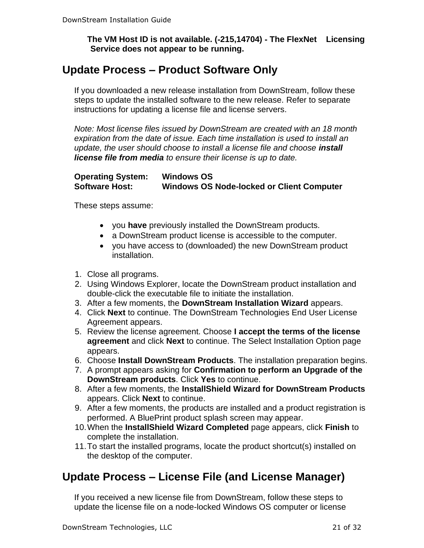**The VM Host ID is not available. (**‐**215,14704)** ‐ **The FlexNet Licensing Service does not appear to be running.**

### <span id="page-20-0"></span>**Update Process – Product Software Only**

If you downloaded a new release installation from DownStream, follow these steps to update the installed software to the new release. Refer to separate instructions for updating a license file and license servers.

*Note: Most license files issued by DownStream are created with an 18 month expiration from the date of issue. Each time installation is used to install an update, the user should choose to install a license file and choose install license file from media to ensure their license is up to date.*

#### **Operating System: Windows OS Software Host: Windows OS Node-locked or Client Computer**

These steps assume:

- you **have** previously installed the DownStream products.
- a DownStream product license is accessible to the computer.
- you have access to (downloaded) the new DownStream product installation.
- 1. Close all programs.
- 2. Using Windows Explorer, locate the DownStream product installation and double-click the executable file to initiate the installation.
- 3. After a few moments, the **DownStream Installation Wizard** appears.
- 4. Click **Next** to continue. The DownStream Technologies End User License Agreement appears.
- 5. Review the license agreement. Choose **I accept the terms of the license agreement** and click **Next** to continue. The Select Installation Option page appears.
- 6. Choose **Install DownStream Products**. The installation preparation begins.
- 7. A prompt appears asking for **Confirmation to perform an Upgrade of the DownStream products**. Click **Yes** to continue.
- 8. After a few moments, the **InstallShield Wizard for DownStream Products** appears. Click **Next** to continue.
- 9. After a few moments, the products are installed and a product registration is performed. A BluePrint product splash screen may appear.
- 10.When the **InstallShield Wizard Completed** page appears, click **Finish** to complete the installation.
- 11.To start the installed programs, locate the product shortcut(s) installed on the desktop of the computer.

# <span id="page-20-1"></span>**Update Process – License File (and License Manager)**

If you received a new license file from DownStream, follow these steps to update the license file on a node-locked Windows OS computer or license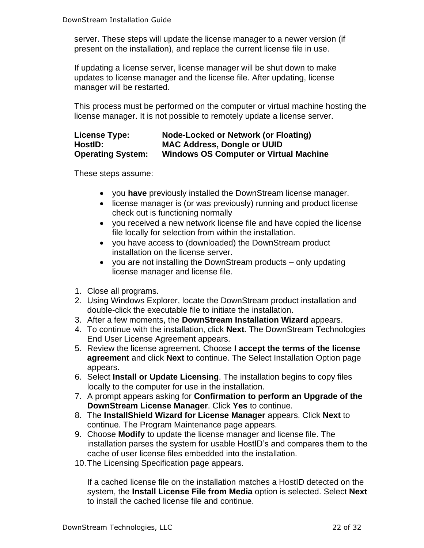server. These steps will update the license manager to a newer version (if present on the installation), and replace the current license file in use.

If updating a license server, license manager will be shut down to make updates to license manager and the license file. After updating, license manager will be restarted.

This process must be performed on the computer or virtual machine hosting the license manager. It is not possible to remotely update a license server.

#### **License Type: Node-Locked or Network (or Floating) HostID: MAC Address, Dongle or UUID Operating System: Windows OS Computer or Virtual Machine**

These steps assume:

- you **have** previously installed the DownStream license manager.
- license manager is (or was previously) running and product license check out is functioning normally
- you received a new network license file and have copied the license file locally for selection from within the installation.
- you have access to (downloaded) the DownStream product installation on the license server.
- you are not installing the DownStream products only updating license manager and license file.
- 1. Close all programs.
- 2. Using Windows Explorer, locate the DownStream product installation and double-click the executable file to initiate the installation.
- 3. After a few moments, the **DownStream Installation Wizard** appears.
- 4. To continue with the installation, click **Next**. The DownStream Technologies End User License Agreement appears.
- 5. Review the license agreement. Choose **I accept the terms of the license agreement** and click **Next** to continue. The Select Installation Option page appears.
- 6. Select **Install or Update Licensing**. The installation begins to copy files locally to the computer for use in the installation.
- 7. A prompt appears asking for **Confirmation to perform an Upgrade of the DownStream License Manager**. Click **Yes** to continue.
- 8. The **InstallShield Wizard for License Manager** appears. Click **Next** to continue. The Program Maintenance page appears.
- 9. Choose **Modify** to update the license manager and license file. The installation parses the system for usable HostID's and compares them to the cache of user license files embedded into the installation.
- 10.The Licensing Specification page appears.

If a cached license file on the installation matches a HostID detected on the system, the **Install License File from Media** option is selected. Select **Next** to install the cached license file and continue.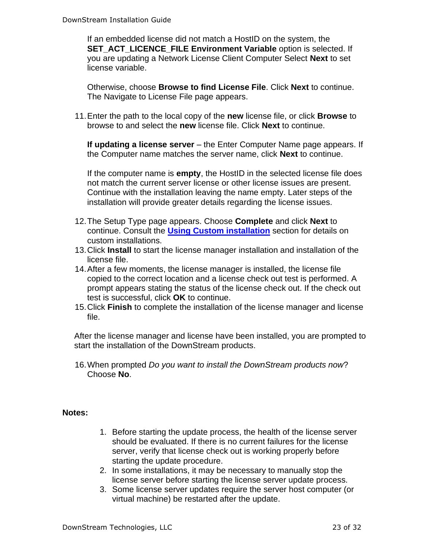If an embedded license did not match a HostID on the system, the **SET\_ACT\_LICENCE\_FILE Environment Variable** option is selected. If you are updating a Network License Client Computer Select **Next** to set license variable.

Otherwise, choose **Browse to find License File**. Click **Next** to continue. The Navigate to License File page appears.

11.Enter the path to the local copy of the **new** license file, or click **Browse** to browse to and select the **new** license file. Click **Next** to continue.

**If updating a license server** – the Enter Computer Name page appears. If the Computer name matches the server name, click **Next** to continue.

If the computer name is **empty**, the HostID in the selected license file does not match the current server license or other license issues are present. Continue with the installation leaving the name empty. Later steps of the installation will provide greater details regarding the license issues.

- 12.The Setup Type page appears. Choose **Complete** and click **Next** to continue. Consult the **[Using Custom installation](#page-22-0)** section for details on custom installations.
- 13.Click **Install** to start the license manager installation and installation of the license file.
- 14.After a few moments, the license manager is installed, the license file copied to the correct location and a license check out test is performed. A prompt appears stating the status of the license check out. If the check out test is successful, click **OK** to continue.
- 15.Click **Finish** to complete the installation of the license manager and license file.

After the license manager and license have been installed, you are prompted to start the installation of the DownStream products.

16.When prompted *Do you want to install the DownStream products now*? Choose **No**.

#### **Notes:**

- 1. Before starting the update process, the health of the license server should be evaluated. If there is no current failures for the license server, verify that license check out is working properly before starting the update procedure.
- 2. In some installations, it may be necessary to manually stop the license server before starting the license server update process.
- <span id="page-22-0"></span>3. Some license server updates require the server host computer (or virtual machine) be restarted after the update.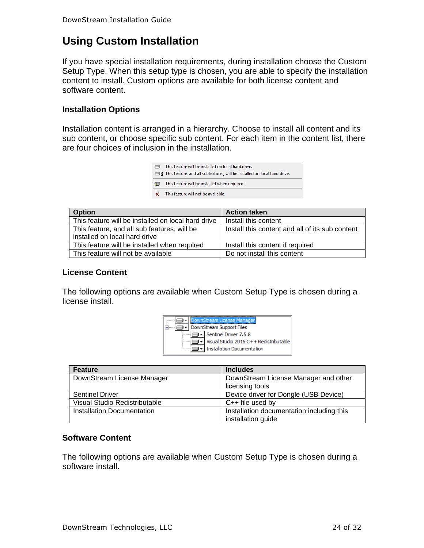# <span id="page-23-0"></span>**Using Custom Installation**

If you have special installation requirements, during installation choose the Custom Setup Type. When this setup type is chosen, you are able to specify the installation content to install. Custom options are available for both license content and software content.

#### **Installation Options**

Installation content is arranged in a hierarchy. Choose to install all content and its sub content, or choose specific sub content. For each item in the content list, there are four choices of inclusion in the installation.

| ▭ | This feature will be installed on local hard drive.<br>■ This feature, and all subfeatures, will be installed on local hard drive. |
|---|------------------------------------------------------------------------------------------------------------------------------------|
| Ð | This feature will be installed when required.                                                                                      |
| × | This feature will not be available.                                                                                                |

| <b>Option</b>                                                                | <b>Action taken</b>                             |
|------------------------------------------------------------------------------|-------------------------------------------------|
| This feature will be installed on local hard drive                           | Install this content                            |
| This feature, and all sub features, will be<br>installed on local hard drive | Install this content and all of its sub content |
| This feature will be installed when required                                 | Install this content if required                |
| This feature will not be available                                           | Do not install this content                     |

#### **License Content**

The following options are available when Custom Setup Type is chosen during a license install.



| <b>Feature</b>                    | <b>Includes</b>                                                 |
|-----------------------------------|-----------------------------------------------------------------|
| DownStream License Manager        | DownStream License Manager and other                            |
|                                   | licensing tools                                                 |
| <b>Sentinel Driver</b>            | Device driver for Dongle (USB Device)                           |
| Visual Studio Redistributable     | $C++$ file used by                                              |
| <b>Installation Documentation</b> | Installation documentation including this<br>installation guide |

#### **Software Content**

The following options are available when Custom Setup Type is chosen during a software install.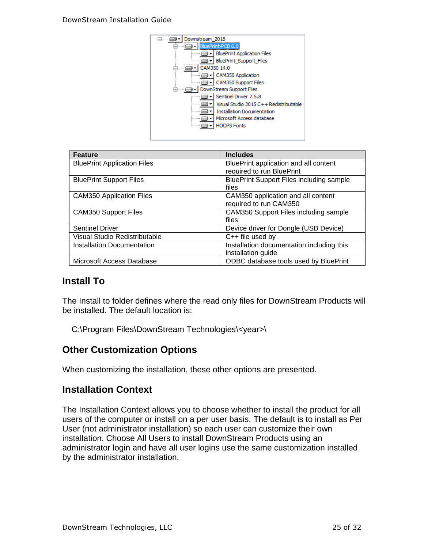

| <b>Feature</b>                     | <b>Includes</b>                                 |
|------------------------------------|-------------------------------------------------|
| <b>BluePrint Application Files</b> | BluePrint application and all content           |
|                                    | required to run BluePrint                       |
| <b>BluePrint Support Files</b>     | <b>BluePrint Support Files including sample</b> |
|                                    | files                                           |
| <b>CAM350 Application Files</b>    | CAM350 application and all content              |
|                                    | required to run CAM350                          |
| <b>CAM350 Support Files</b>        | CAM350 Support Files including sample           |
|                                    | files                                           |
| <b>Sentinel Driver</b>             | Device driver for Dongle (USB Device)           |
| Visual Studio Redistributable      | $C++$ file used by                              |
| Installation Documentation         | Installation documentation including this       |
|                                    | installation guide                              |
| Microsoft Access Database          | ODBC database tools used by BluePrint           |

### **Install To**

The Install to folder defines where the read only files for DownStream Products will be installed. The default location is:

C:\Program Files\DownStream Technologies\<year>\

### **Other Customization Options**

When customizing the installation, these other options are presented.

#### **Installation Context**

The Installation Context allows you to choose whether to install the product for all users of the computer or install on a per user basis. The default is to install as Per User (not administrator installation) so each user can customize their own installation. Choose All Users to install DownStream Products using an administrator login and have all user logins use the same customization installed by the administrator installation.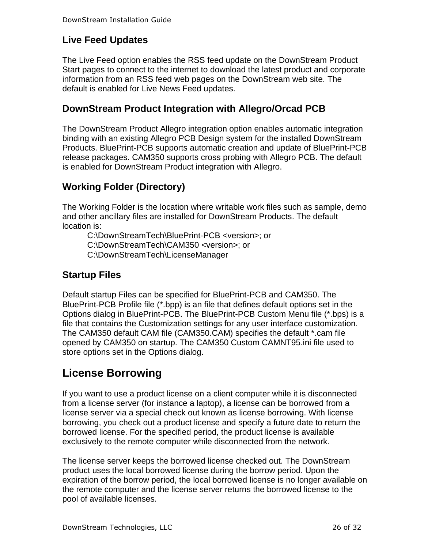### **Live Feed Updates**

The Live Feed option enables the RSS feed update on the DownStream Product Start pages to connect to the internet to download the latest product and corporate information from an RSS feed web pages on the DownStream web site. The default is enabled for Live News Feed updates.

### **DownStream Product Integration with Allegro/Orcad PCB**

The DownStream Product Allegro integration option enables automatic integration binding with an existing Allegro PCB Design system for the installed DownStream Products. BluePrint-PCB supports automatic creation and update of BluePrint-PCB release packages. CAM350 supports cross probing with Allegro PCB. The default is enabled for DownStream Product integration with Allegro.

### **Working Folder (Directory)**

The Working Folder is the location where writable work files such as sample, demo and other ancillary files are installed for DownStream Products. The default location is:

C:\DownStreamTech\BluePrint-PCB <version>; or C:\DownStreamTech\CAM350 <version>; or C:\DownStreamTech\LicenseManager

### **Startup Files**

Default startup Files can be specified for BluePrint-PCB and CAM350. The BluePrint-PCB Profile file (\*.bpp) is an file that defines default options set in the Options dialog in BluePrint-PCB. The BluePrint-PCB Custom Menu file (\*.bps) is a file that contains the Customization settings for any user interface customization. The CAM350 default CAM file (CAM350.CAM) specifies the default \*.cam file opened by CAM350 on startup. The CAM350 Custom CAMNT95.ini file used to store options set in the Options dialog.

# <span id="page-25-0"></span>**License Borrowing**

If you want to use a product license on a client computer while it is disconnected from a license server (for instance a laptop), a license can be borrowed from a license server via a special check out known as license borrowing. With license borrowing, you check out a product license and specify a future date to return the borrowed license. For the specified period, the product license is available exclusively to the remote computer while disconnected from the network.

The license server keeps the borrowed license checked out. The DownStream product uses the local borrowed license during the borrow period. Upon the expiration of the borrow period, the local borrowed license is no longer available on the remote computer and the license server returns the borrowed license to the pool of available licenses.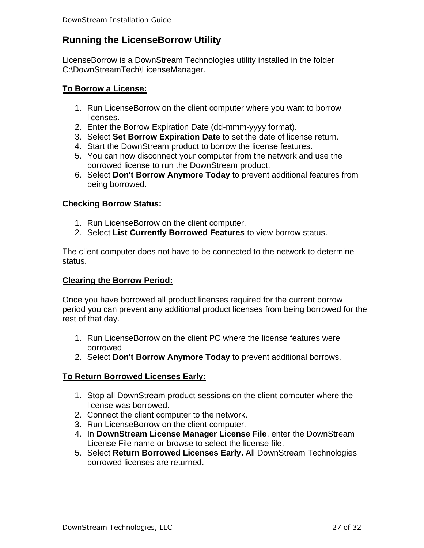### **Running the LicenseBorrow Utility**

LicenseBorrow is a DownStream Technologies utility installed in the folder C:\DownStreamTech\LicenseManager.

#### **To Borrow a License:**

- 1. Run LicenseBorrow on the client computer where you want to borrow licenses.
- 2. Enter the Borrow Expiration Date (dd-mmm-yyyy format).
- 3. Select **Set Borrow Expiration Date** to set the date of license return.
- 4. Start the DownStream product to borrow the license features.
- 5. You can now disconnect your computer from the network and use the borrowed license to run the DownStream product.
- 6. Select **Don't Borrow Anymore Today** to prevent additional features from being borrowed.

#### **Checking Borrow Status:**

- 1. Run LicenseBorrow on the client computer.
- 2. Select **List Currently Borrowed Features** to view borrow status.

The client computer does not have to be connected to the network to determine status.

#### **Clearing the Borrow Period:**

Once you have borrowed all product licenses required for the current borrow period you can prevent any additional product licenses from being borrowed for the rest of that day.

- 1. Run LicenseBorrow on the client PC where the license features were borrowed
- 2. Select **Don't Borrow Anymore Today** to prevent additional borrows.

#### **To Return Borrowed Licenses Early:**

- 1. Stop all DownStream product sessions on the client computer where the license was borrowed.
- 2. Connect the client computer to the network.
- 3. Run LicenseBorrow on the client computer.
- 4. In **DownStream License Manager License File**, enter the DownStream License File name or browse to select the license file.
- 5. Select **Return Borrowed Licenses Early.** All DownStream Technologies borrowed licenses are returned.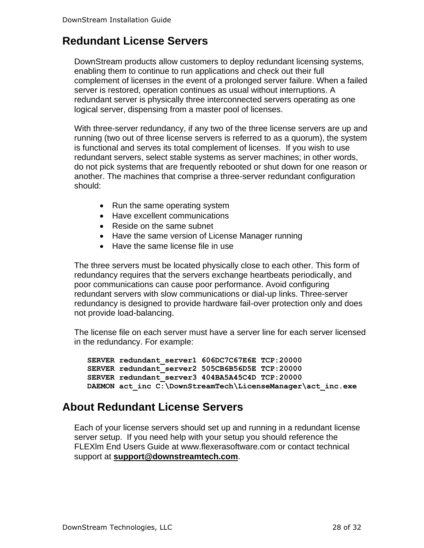# <span id="page-27-0"></span>**Redundant License Servers**

DownStream products allow customers to deploy redundant licensing systems, enabling them to continue to run applications and check out their full complement of licenses in the event of a prolonged server failure. When a failed server is restored, operation continues as usual without interruptions. A redundant server is physically three interconnected servers operating as one logical server, dispensing from a master pool of licenses.

With three-server redundancy, if any two of the three license servers are up and running (two out of three license servers is referred to as a quorum), the system is functional and serves its total complement of licenses. If you wish to use redundant servers, select stable systems as server machines; in other words, do not pick systems that are frequently rebooted or shut down for one reason or another. The machines that comprise a three-server redundant configuration should:

- Run the same operating system
- Have excellent communications
- Reside on the same subnet
- Have the same version of License Manager running
- Have the same license file in use

The three servers must be located physically close to each other. This form of redundancy requires that the servers exchange heartbeats periodically, and poor communications can cause poor performance. Avoid configuring redundant servers with slow communications or dial-up links. Three-server redundancy is designed to provide hardware fail-over protection only and does not provide load-balancing.

The license file on each server must have a server line for each server licensed in the redundancy. For example:

```
SERVER redundant_server1 606DC7C67E6E TCP:20000
SERVER redundant_server2 505CB6B56D5E TCP:20000
SERVER redundant_server3 404BA5A45C4D TCP:20000
DAEMON act_inc C:\DownStreamTech\LicenseManager\act_inc.exe
```
### **About Redundant License Servers**

Each of your license servers should set up and running in a redundant license server setup. If you need help with your setup you should reference the FLEXlm End Users Guide at www.flexerasoftware.com or contact technical support at **[support@downstreamtech.com](mailto:support@downstreamtech.com)**.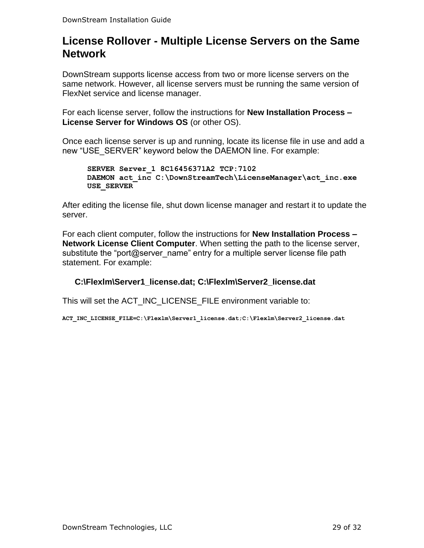# <span id="page-28-0"></span>**License Rollover - Multiple License Servers on the Same Network**

DownStream supports license access from two or more license servers on the same network. However, all license servers must be running the same version of FlexNet service and license manager.

For each license server, follow the instructions for **New Installation Process – License Server for Windows OS** (or other OS).

Once each license server is up and running, locate its license file in use and add a new "USE\_SERVER" keyword below the DAEMON line. For example:

```
SERVER Server_1 8C16456371A2 TCP:7102
DAEMON act_inc C:\DownStreamTech\LicenseManager\act_inc.exe
USE_SERVER
```
After editing the license file, shut down license manager and restart it to update the server.

For each client computer, follow the instructions for **New Installation Process – Network License Client Computer**. When setting the path to the license server, substitute the "port@server\_name" entry for a multiple server license file path statement. For example:

### **C:\Flexlm\Server1\_license.dat; C:\Flexlm\Server2\_license.dat**

This will set the ACT\_INC\_LICENSE\_FILE environment variable to:

**ACT\_INC\_LICENSE\_FILE=C:\Flexlm\Server1\_license.dat;C:\Flexlm\Server2\_license.dat**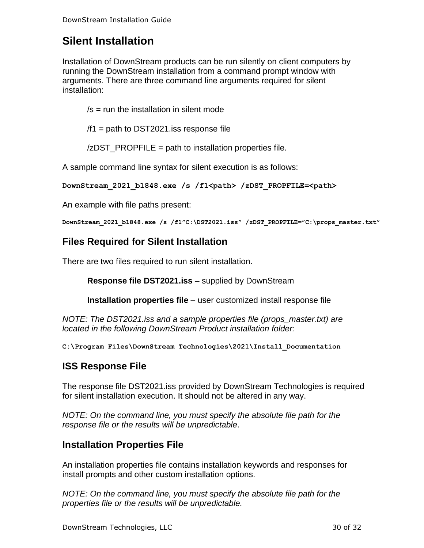# <span id="page-29-0"></span>**Silent Installation**

Installation of DownStream products can be run silently on client computers by running the DownStream installation from a command prompt window with arguments. There are three command line arguments required for silent installation:

 $/s =$  run the installation in silent mode

 $/1$  = path to DST2021. iss response file

/zDST\_PROPFILE = path to installation properties file.

A sample command line syntax for silent execution is as follows:

```
DownStream_2021_b1848.exe /s /f1<path> /zDST_PROPFILE=<path>
```
An example with file paths present:

**DownStream\_2021\_b1848.exe /s /f1"C:\DST2021.iss" /zDST\_PROPFILE="C:\props\_master.txt"**

### **Files Required for Silent Installation**

There are two files required to run silent installation.

**Response file DST2021.iss** – supplied by DownStream

**Installation properties file** – user customized install response file

*NOTE: The DST2021.iss and a sample properties file (props\_master.txt) are located in the following DownStream Product installation folder:*

**C:\Program Files\DownStream Technologies\2021\Install\_Documentation**

### **ISS Response File**

The response file DST2021.iss provided by DownStream Technologies is required for silent installation execution. It should not be altered in any way.

*NOTE: On the command line, you must specify the absolute file path for the response file or the results will be unpredictable*.

### **Installation Properties File**

An installation properties file contains installation keywords and responses for install prompts and other custom installation options.

*NOTE: On the command line, you must specify the absolute file path for the properties file or the results will be unpredictable.*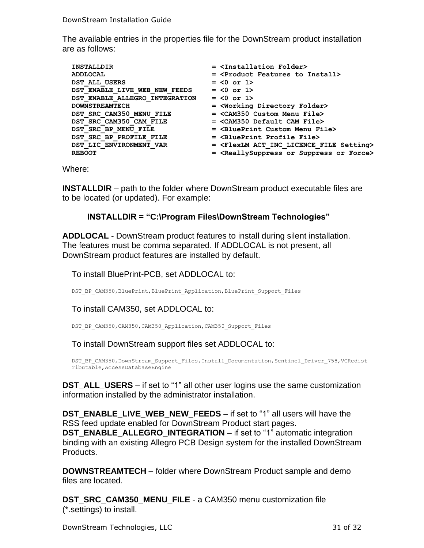The available entries in the properties file for the DownStream product installation are as follows:

| <b>INSTALLDIR</b>              | $=$ $\langle$ Installation Folder>                              |
|--------------------------------|-----------------------------------------------------------------|
| ADDLOCAL                       | = <product features="" install="" to=""></product>              |
| DST ALL USERS                  | $= <0$ or 1>                                                    |
| DST ENABLE LIVE WEB NEW FEEDS  | $= <0$ or 1>                                                    |
| DST ENABLE ALLEGRO INTEGRATION | $= <0$ or 1>                                                    |
| <b>DOWNSTREAMTECH</b>          | = <working directory="" folder=""></working>                    |
| DST SRC CAM350 MENU FILE       | $=$ <cam350 custom="" file="" menu=""></cam350>                 |
| DST SRC CAM350 CAM FILE        | $=$ <cam350 cam="" default="" file=""></cam350>                 |
| DST SRC BP MENU FILE           | $=$ $\langle$ BluePrint Custom Menu File>                       |
| DST SRC BP PROFILE FILE        | $=$ $\langle$ BluePrint Profile File>                           |
| DST LIC ENVIRONMENT VAR        | = <flexlm act="" file="" inc="" licence="" setting=""></flexlm> |
| <b>REBOOT</b>                  | = <reallysuppress force="" or="" suppress=""></reallysuppress>  |

Where:

**INSTALLDIR** – path to the folder where DownStream product executable files are to be located (or updated). For example:

#### **INSTALLDIR = "C:\Program Files\DownStream Technologies"**

**ADDLOCAL** - DownStream product features to install during silent installation. The features must be comma separated. If ADDLOCAL is not present, all DownStream product features are installed by default.

To install BluePrint-PCB, set ADDLOCAL to:

DST\_BP\_CAM350, BluePrint, BluePrint\_Application, BluePrint\_Support\_Files

To install CAM350, set ADDLOCAL to:

DST\_BP\_CAM350,CAM350,CAM350\_Application,CAM350\_Support\_Files

To install DownStream support files set ADDLOCAL to:

```
DST_BP_CAM350,DownStream_Support_Files,Install_Documentation,Sentinel_Driver_758,VCRedist
ributable,AccessDatabaseEngine
```
**DST\_ALL\_USERS** – if set to "1" all other user logins use the same customization information installed by the administrator installation.

**DST\_ENABLE\_LIVE\_WEB\_NEW\_FEEDS** – if set to "1" all users will have the RSS feed update enabled for DownStream Product start pages.

**DST\_ENABLE\_ALLEGRO\_INTEGRATION** – if set to "1" automatic integration binding with an existing Allegro PCB Design system for the installed DownStream Products.

**DOWNSTREAMTECH** – folder where DownStream Product sample and demo files are located.

**DST\_SRC\_CAM350\_MENU\_FILE** - a CAM350 menu customization file (\*.settings) to install.

DownStream Technologies, LLC 31 of 32